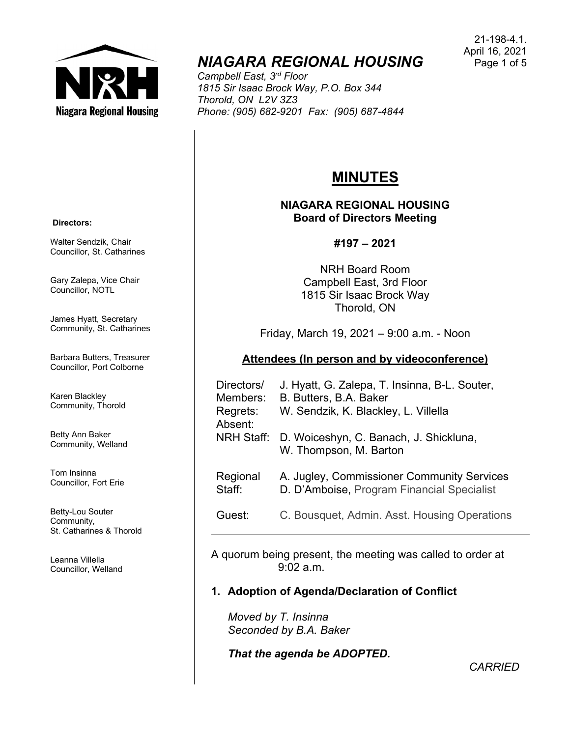

# *NIAGARA REGIONAL HOUSING*

*Campbell East, 3rd Floor 1815 Sir Isaac Brock Way, P.O. Box 344 Thorold, ON L2V 3Z3 Phone: (905) 682-9201 Fax: (905) 687-4844*

# **MINUTES**

**NIAGARA REGIONAL HOUSING Board of Directors Meeting**

#### **#197 – 2021**

NRH Board Room Campbell East, 3rd Floor 1815 Sir Isaac Brock Way Thorold, ON

Friday, March 19, 2021 – 9:00 a.m. - Noon

# **Attendees (In person and by videoconference)**

| Directors/<br>Members: | J. Hyatt, G. Zalepa, T. Insinna, B-L. Souter,<br>B. Butters, B.A. Baker                  |
|------------------------|------------------------------------------------------------------------------------------|
| Regrets:<br>Absent:    | W. Sendzik, K. Blackley, L. Villella                                                     |
|                        | NRH Staff: D. Woiceshyn, C. Banach, J. Shickluna,<br>W. Thompson, M. Barton              |
| Regional<br>Staff:     | A. Jugley, Commissioner Community Services<br>D. D'Amboise, Program Financial Specialist |
| Guest:                 | C. Bousquet, Admin. Asst. Housing Operations                                             |

A quorum being present, the meeting was called to order at 9:02 a.m.

# **1. Adoption of Agenda/Declaration of Conflict**

*Moved by T. Insinna Seconded by B.A. Baker*

*That the agenda be ADOPTED.*

**Directors:**

Walter Sendzik, Chair Councillor, St. Catharines

Gary Zalepa, Vice Chair Councillor, NOTL

James Hyatt, Secretary Community, St. Catharines

Barbara Butters, Treasurer Councillor, Port Colborne

Karen Blackley Community, Thorold

Betty Ann Baker Community, Welland

Tom Insinna Councillor, Fort Erie

Betty-Lou Souter Community, St. Catharines & Thorold

Leanna Villella Councillor, Welland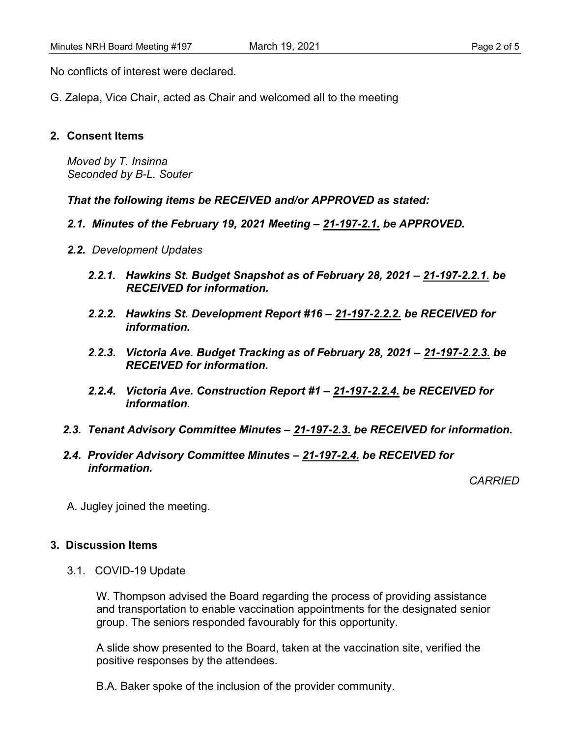No conflicts of interest were declared.

G. Zalepa, Vice Chair, acted as Chair and welcomed all to the meeting

#### **2. Consent Items**

*Moved by T. Insinna Seconded by B-L. Souter*

*That the following items be RECEIVED and/or APPROVED as stated:*

- *2.1. Minutes of the February 19, 2021 Meeting – 21-197-2.1. be APPROVED.*
- *2.2. Development Updates*
	- *2.2.1. Hawkins St. Budget Snapshot as of February 28, 2021 – 21-197-2.2.1. be RECEIVED for information.*
	- *2.2.2. Hawkins St. Development Report #16 – 21-197-2.2.2. be RECEIVED for information.*
	- *2.2.3. Victoria Ave. Budget Tracking as of February 28, 2021 – 21-197-2.2.3. be RECEIVED for information.*
	- *2.2.4. Victoria Ave. Construction Report #1 – 21-197-2.2.4. be RECEIVED for information.*
- *2.3. Tenant Advisory Committee Minutes – 21-197-2.3. be RECEIVED for information.*
- *2.4. Provider Advisory Committee Minutes – 21-197-2.4. be RECEIVED for information.*

*CARRIED*

A. Jugley joined the meeting.

# **3. Discussion Items**

3.1. COVID-19 Update

W. Thompson advised the Board regarding the process of providing assistance and transportation to enable vaccination appointments for the designated senior group. The seniors responded favourably for this opportunity.

A slide show presented to the Board, taken at the vaccination site, verified the positive responses by the attendees.

B.A. Baker spoke of the inclusion of the provider community.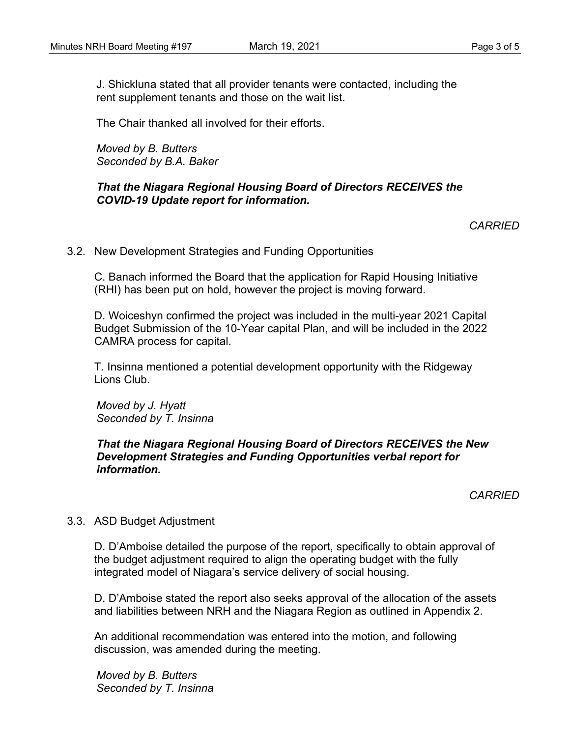J. Shickluna stated that all provider tenants were contacted, including the rent supplement tenants and those on the wait list.

The Chair thanked all involved for their efforts.

*Moved by B. Butters Seconded by B.A. Baker*

#### *That the Niagara Regional Housing Board of Directors RECEIVES the COVID-19 Update report for information.*

*CARRIED*

3.2. New Development Strategies and Funding Opportunities

C. Banach informed the Board that the application for Rapid Housing Initiative (RHI) has been put on hold, however the project is moving forward.

D. Woiceshyn confirmed the project was included in the multi-year 2021 Capital Budget Submission of the 10-Year capital Plan, and will be included in the 2022 CAMRA process for capital.

T. Insinna mentioned a potential development opportunity with the Ridgeway Lions Club.

*Moved by J. Hyatt Seconded by T. Insinna*

# *That the Niagara Regional Housing Board of Directors RECEIVES the New Development Strategies and Funding Opportunities verbal report for information.*

*CARRIED*

# 3.3. ASD Budget Adjustment

D. D'Amboise detailed the purpose of the report, specifically to obtain approval of the budget adjustment required to align the operating budget with the fully integrated model of Niagara's service delivery of social housing.

D. D'Amboise stated the report also seeks approval of the allocation of the assets and liabilities between NRH and the Niagara Region as outlined in Appendix 2.

An additional recommendation was entered into the motion, and following discussion, was amended during the meeting.

*Moved by B. Butters Seconded by T. Insinna*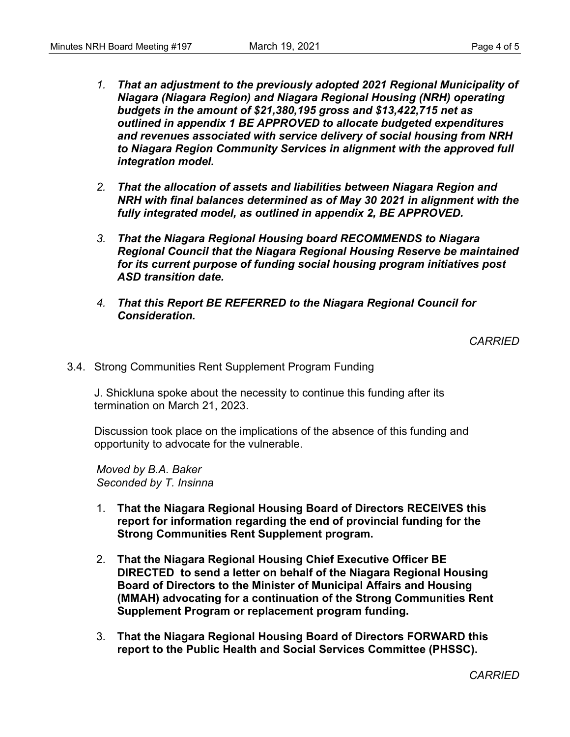- *1. That an adjustment to the previously adopted 2021 Regional Municipality of Niagara (Niagara Region) and Niagara Regional Housing (NRH) operating budgets in the amount of \$21,380,195 gross and \$13,422,715 net as outlined in appendix 1 BE APPROVED to allocate budgeted expenditures and revenues associated with service delivery of social housing from NRH to Niagara Region Community Services in alignment with the approved full integration model.*
- *2. That the allocation of assets and liabilities between Niagara Region and NRH with final balances determined as of May 30 2021 in alignment with the fully integrated model, as outlined in appendix 2, BE APPROVED.*
- *3. That the Niagara Regional Housing board RECOMMENDS to Niagara Regional Council that the Niagara Regional Housing Reserve be maintained for its current purpose of funding social housing program initiatives post ASD transition date.*
- *4. That this Report BE REFERRED to the Niagara Regional Council for Consideration.*

*CARRIED*

3.4. Strong Communities Rent Supplement Program Funding

J. Shickluna spoke about the necessity to continue this funding after its termination on March 21, 2023.

Discussion took place on the implications of the absence of this funding and opportunity to advocate for the vulnerable.

*Moved by B.A. Baker Seconded by T. Insinna*

- 1. **That the Niagara Regional Housing Board of Directors RECEIVES this report for information regarding the end of provincial funding for the Strong Communities Rent Supplement program.**
- 2. **That the Niagara Regional Housing Chief Executive Officer BE DIRECTED to send a letter on behalf of the Niagara Regional Housing Board of Directors to the Minister of Municipal Affairs and Housing (MMAH) advocating for a continuation of the Strong Communities Rent Supplement Program or replacement program funding.**
- 3. **That the Niagara Regional Housing Board of Directors FORWARD this report to the Public Health and Social Services Committee (PHSSC).**